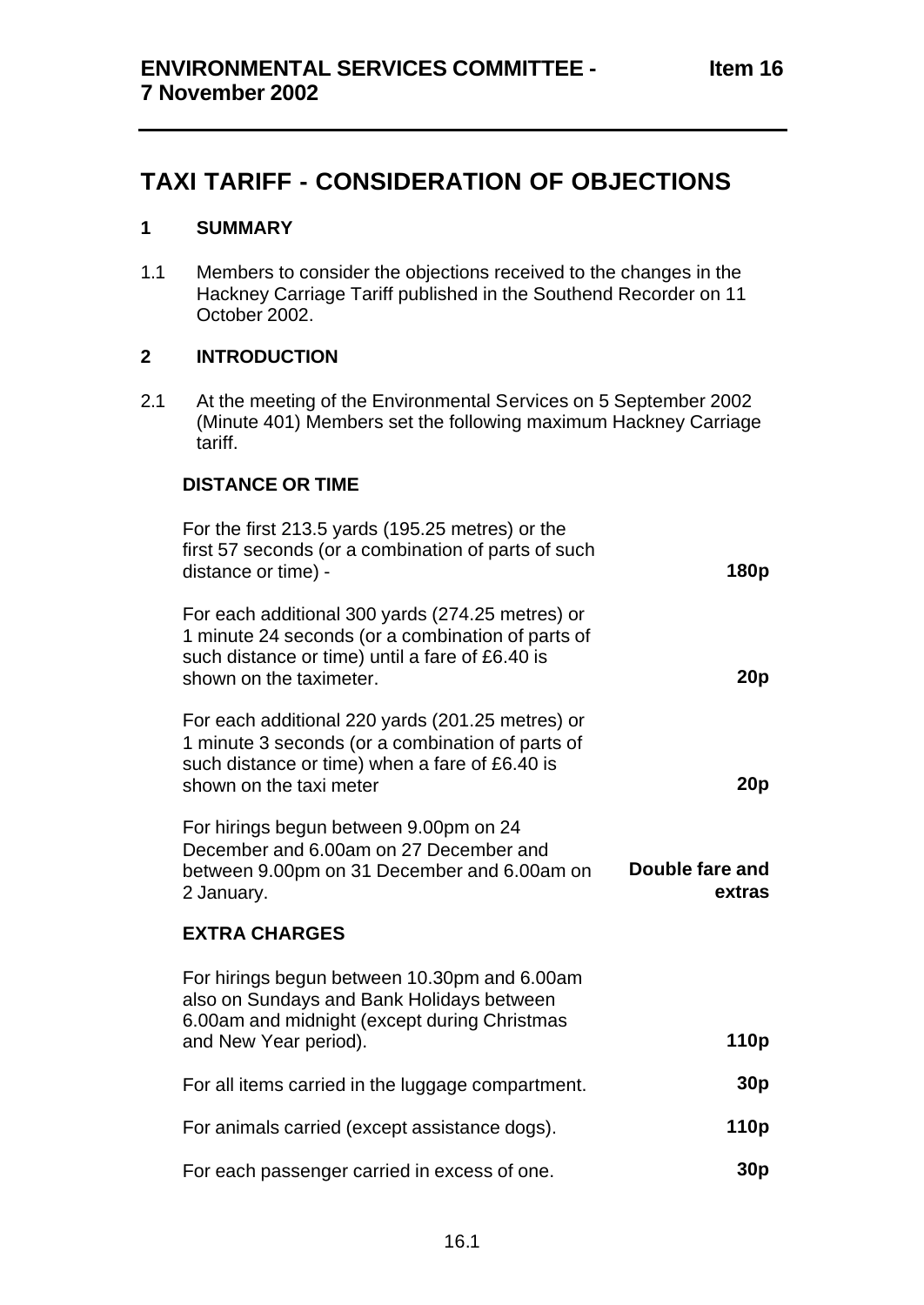# **TAXI TARIFF - CONSIDERATION OF OBJECTIONS**

### **1 SUMMARY**

1.1 Members to consider the objections received to the changes in the Hackney Carriage Tariff published in the Southend Recorder on 11 October 2002.

### **2 INTRODUCTION**

2.1 At the meeting of the Environmental Services on 5 September 2002 (Minute 401) Members set the following maximum Hackney Carriage tariff.

### **DISTANCE OR TIME**

| For the first 213.5 yards (195.25 metres) or the<br>first 57 seconds (or a combination of parts of such<br>distance or time) -                                                      | 180p                      |
|-------------------------------------------------------------------------------------------------------------------------------------------------------------------------------------|---------------------------|
| For each additional 300 yards (274.25 metres) or<br>1 minute 24 seconds (or a combination of parts of<br>such distance or time) until a fare of £6.40 is<br>shown on the taximeter. | 20 <sub>p</sub>           |
| For each additional 220 yards (201.25 metres) or<br>1 minute 3 seconds (or a combination of parts of<br>such distance or time) when a fare of £6.40 is<br>shown on the taxi meter   | 20p                       |
| For hirings begun between 9.00pm on 24<br>December and 6.00am on 27 December and<br>between 9.00pm on 31 December and 6.00am on<br>2 January.                                       | Double fare and<br>extras |
| <b>EXTRA CHARGES</b>                                                                                                                                                                |                           |
| For hirings begun between 10.30pm and 6.00am<br>also on Sundays and Bank Holidays between<br>6.00am and midnight (except during Christmas<br>and New Year period).                  | 110p                      |
| For all items carried in the luggage compartment.                                                                                                                                   | 30 <sub>p</sub>           |
| For animals carried (except assistance dogs).                                                                                                                                       | 110 <sub>p</sub>          |
| For each passenger carried in excess of one.                                                                                                                                        | 30p                       |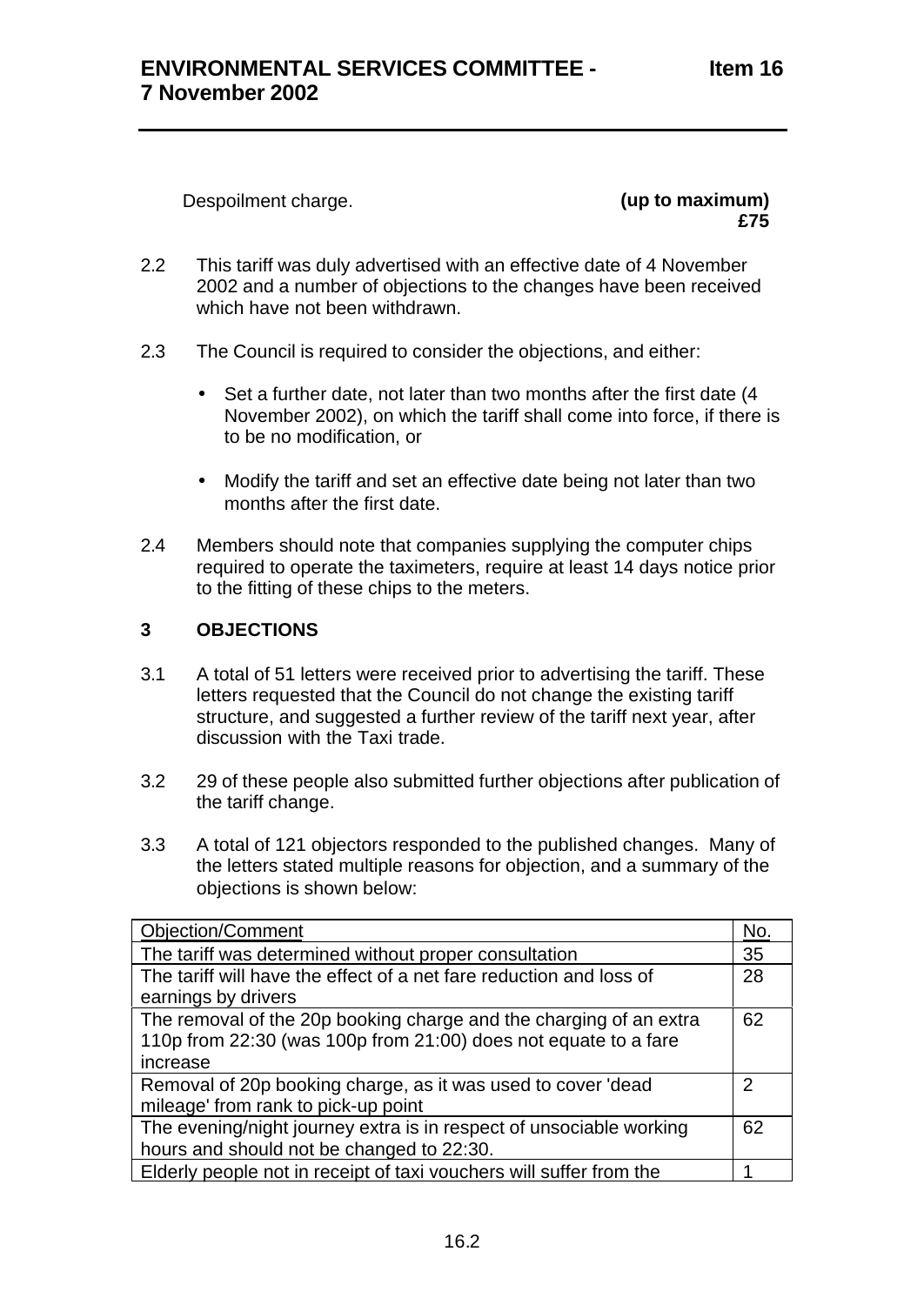Despoilment charge. **(up to maximum)**

**£75**

- 2.2 This tariff was duly advertised with an effective date of 4 November 2002 and a number of objections to the changes have been received which have not been withdrawn.
- 2.3 The Council is required to consider the objections, and either:
	- Set a further date, not later than two months after the first date (4) November 2002), on which the tariff shall come into force, if there is to be no modification, or
	- Modify the tariff and set an effective date being not later than two months after the first date.
- 2.4 Members should note that companies supplying the computer chips required to operate the taximeters, require at least 14 days notice prior to the fitting of these chips to the meters.

## **3 OBJECTIONS**

- 3.1 A total of 51 letters were received prior to advertising the tariff. These letters requested that the Council do not change the existing tariff structure, and suggested a further review of the tariff next year, after discussion with the Taxi trade.
- 3.2 29 of these people also submitted further objections after publication of the tariff change.
- 3.3 A total of 121 objectors responded to the published changes. Many of the letters stated multiple reasons for objection, and a summary of the objections is shown below:

| <b>Objection/Comment</b>                                                                                                                          | No. |
|---------------------------------------------------------------------------------------------------------------------------------------------------|-----|
| The tariff was determined without proper consultation                                                                                             | 35  |
| The tariff will have the effect of a net fare reduction and loss of<br>earnings by drivers                                                        | 28  |
| The removal of the 20p booking charge and the charging of an extra<br>110p from 22:30 (was 100p from 21:00) does not equate to a fare<br>increase | 62  |
| Removal of 20p booking charge, as it was used to cover 'dead<br>mileage' from rank to pick-up point                                               | 2   |
| The evening/night journey extra is in respect of unsociable working<br>hours and should not be changed to 22:30.                                  | 62  |
| Elderly people not in receipt of taxi vouchers will suffer from the                                                                               |     |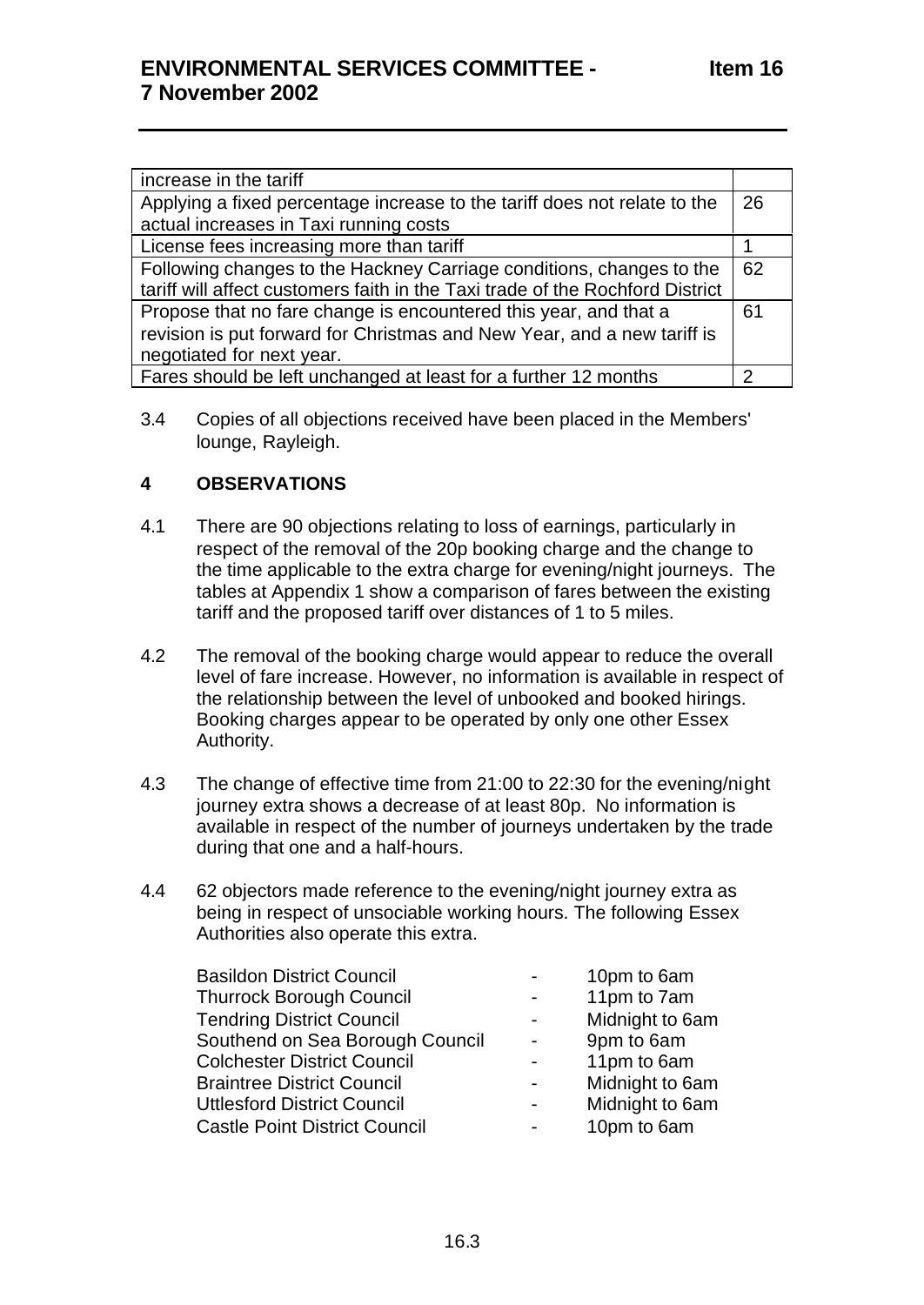| increase in the tariff                                                        |    |
|-------------------------------------------------------------------------------|----|
| Applying a fixed percentage increase to the tariff does not relate to the     | 26 |
| actual increases in Taxi running costs                                        |    |
| License fees increasing more than tariff                                      |    |
| Following changes to the Hackney Carriage conditions, changes to the          | 62 |
| tariff will affect customers faith in the Taxi trade of the Rochford District |    |
| Propose that no fare change is encountered this year, and that a              | 61 |
| revision is put forward for Christmas and New Year, and a new tariff is       |    |
| negotiated for next year.                                                     |    |
| Fares should be left unchanged at least for a further 12 months               | າ  |

3.4 Copies of all objections received have been placed in the Members' lounge, Rayleigh.

### **4 OBSERVATIONS**

- 4.1 There are 90 objections relating to loss of earnings, particularly in respect of the removal of the 20p booking charge and the change to the time applicable to the extra charge for evening/night journeys. The tables at Appendix 1 show a comparison of fares between the existing tariff and the proposed tariff over distances of 1 to 5 miles.
- 4.2 The removal of the booking charge would appear to reduce the overall level of fare increase. However, no information is available in respect of the relationship between the level of unbooked and booked hirings. Booking charges appear to be operated by only one other Essex Authority.
- 4.3 The change of effective time from 21:00 to 22:30 for the evening/night journey extra shows a decrease of at least 80p. No information is available in respect of the number of journeys undertaken by the trade during that one and a half-hours.
- 4.4 62 objectors made reference to the evening/night journey extra as being in respect of unsociable working hours. The following Essex Authorities also operate this extra.

| <b>Basildon District Council</b>   |
|------------------------------------|
| <b>Thurrock Borough Council</b>    |
| <b>Tendring District Council</b>   |
| Southend on Sea Borough Council    |
| <b>Colchester District Council</b> |
| <b>Braintree District Council</b>  |
| Uttlesford District Council        |
| Castle Point District Council      |

- 10pm to 6am
- 11pm to 7am
- Midnight to 6am
- 9pm to 6am
- 11pm to 6am
- Midnight to 6am
- Midnight to 6am
- 10pm to 6am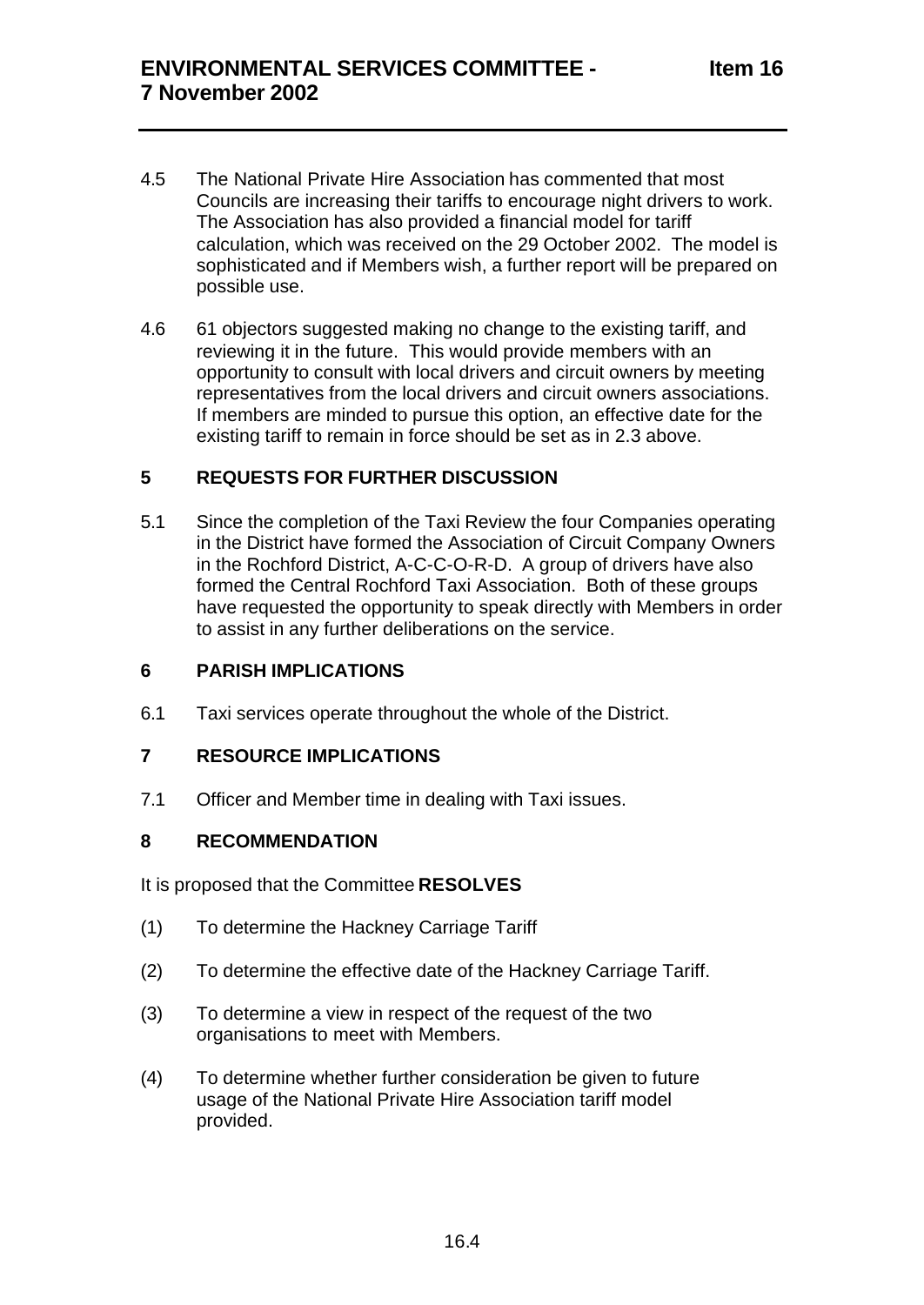- 4.5 The National Private Hire Association has commented that most Councils are increasing their tariffs to encourage night drivers to work. The Association has also provided a financial model for tariff calculation, which was received on the 29 October 2002. The model is sophisticated and if Members wish, a further report will be prepared on possible use.
- 4.6 61 objectors suggested making no change to the existing tariff, and reviewing it in the future. This would provide members with an opportunity to consult with local drivers and circuit owners by meeting representatives from the local drivers and circuit owners associations. If members are minded to pursue this option, an effective date for the existing tariff to remain in force should be set as in 2.3 above.

### **5 REQUESTS FOR FURTHER DISCUSSION**

5.1 Since the completion of the Taxi Review the four Companies operating in the District have formed the Association of Circuit Company Owners in the Rochford District, A-C-C-O-R-D. A group of drivers have also formed the Central Rochford Taxi Association. Both of these groups have requested the opportunity to speak directly with Members in order to assist in any further deliberations on the service.

### **6 PARISH IMPLICATIONS**

6.1 Taxi services operate throughout the whole of the District.

#### **7 RESOURCE IMPLICATIONS**

7.1 Officer and Member time in dealing with Taxi issues.

#### **8 RECOMMENDATION**

It is proposed that the Committee **RESOLVES**

- (1) To determine the Hackney Carriage Tariff
- (2) To determine the effective date of the Hackney Carriage Tariff.
- (3) To determine a view in respect of the request of the two organisations to meet with Members.
- (4) To determine whether further consideration be given to future usage of the National Private Hire Association tariff model provided.